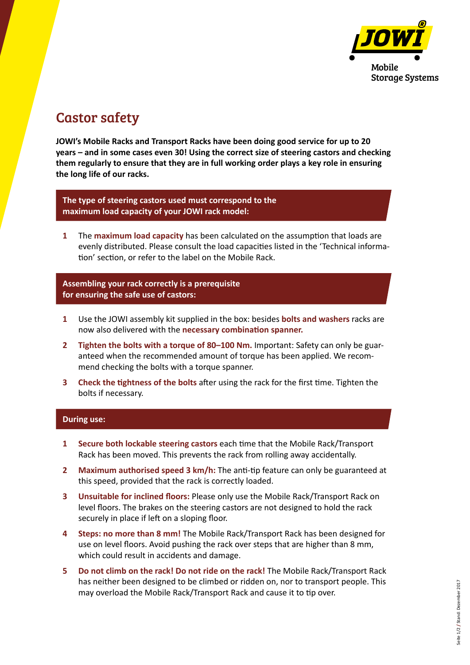

# Castor safety

**JOWI's Mobile Racks and Transport Racks have been doing good service for up to 20 years – and in some cases even 30! Using the correct size of steering castors and checking them regularly to ensure that they are in full working order plays a key role in ensuring the long life of our racks.**

**The type of steering castors used must correspond to the maximum load capacity of your JOWI rack model:**

**1** The **maximum load capacity** has been calculated on the assumption that loads are evenly distributed. Please consult the load capacities listed in the 'Technical information' section, or refer to the label on the Mobile Rack.

**Assembling your rack correctly is a prerequisite for ensuring the safe use of castors:**

- **1** Use the JOWI assembly kit supplied in the box: besides **bolts and washers** racks are now also delivered with the **necessary combination spanner.**
- **2 Tighten the bolts with a torque of 80–100 Nm.** Important: Safety can only be guaranteed when the recommended amount of torque has been applied. We recommend checking the bolts with a torque spanner.
- **3 Check the tightness of the bolts** after using the rack for the first time. Tighten the bolts if necessary.

### **During use:**

- **1 Secure both lockable steering castors** each time that the Mobile Rack/Transport Rack has been moved. This prevents the rack from rolling away accidentally.
- **2 Maximum authorised speed 3 km/h:** The anti-tip feature can only be guaranteed at this speed, provided that the rack is correctly loaded.
- **3 Unsuitable for inclined floors:** Please only use the Mobile Rack/Transport Rack on level floors. The brakes on the steering castors are not designed to hold the rack securely in place if left on a sloping floor.
- **4 Steps: no more than 8 mm!** The Mobile Rack/Transport Rack has been designed for use on level floors. Avoid pushing the rack over steps that are higher than 8 mm, which could result in accidents and damage.
- **5 Do not climb on the rack! Do not ride on the rack!** The Mobile Rack/Transport Rack has neither been designed to be climbed or ridden on, nor to transport people. This may overload the Mobile Rack/Transport Rack and cause it to tip over.